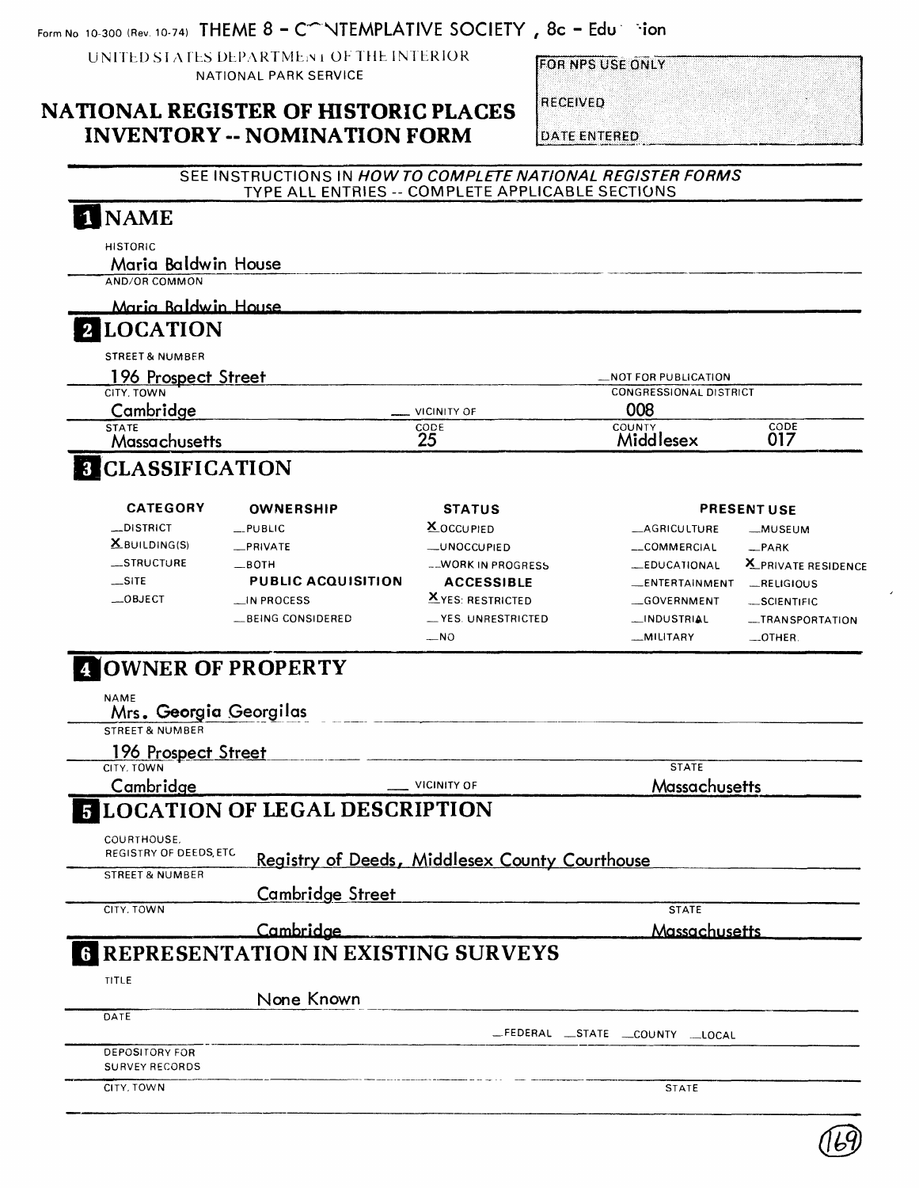Form No. 10-300 (Rev. 10-74) **THEME 8 - C<sup>on</sup> NTEMPLATIVE SOCIETY**, 8c - Edu infor

UNITED STATES DEPARTMENT OF THE INTERIOR NATIONAL PARK SERVICE

**FOR NPS USE ONLY** 

#### **NATIONAL REGISTER OF HISTORIC PLACES INVENTORY -- NOMINATION FORM**

RECEIVED

**DATE ENTERED** 

|                                                                   |                                           | TYPE ALL ENTRIES -- COMPLETE APPLICABLE SECTIONS      | SEE INSTRUCTIONS IN HOW TO COMPLETE NATIONAL REGISTER FORMS |                     |
|-------------------------------------------------------------------|-------------------------------------------|-------------------------------------------------------|-------------------------------------------------------------|---------------------|
| <b>NAME</b>                                                       |                                           |                                                       |                                                             |                     |
| <b>HISTORIC</b>                                                   |                                           |                                                       |                                                             |                     |
| Maria Baldwin House                                               |                                           |                                                       |                                                             |                     |
| AND/OR COMMON                                                     |                                           |                                                       |                                                             |                     |
| Maria Baldwin House                                               |                                           |                                                       |                                                             |                     |
| <b>LOCATION</b>                                                   |                                           |                                                       |                                                             |                     |
| <b>STREET &amp; NUMBER</b>                                        |                                           |                                                       |                                                             |                     |
| 196 Prospect Street                                               |                                           |                                                       | _NOT FOR PUBLICATION                                        |                     |
| CITY. TOWN                                                        |                                           |                                                       | <b>CONGRESSIONAL DISTRICT</b>                               |                     |
| Cambridge                                                         |                                           | <b>VICINITY OF</b>                                    | 008                                                         |                     |
| <b>STATE</b><br>Massachusetts                                     |                                           | CODE<br>25                                            | <b>COUNTY</b><br>Middlesex                                  | CODE<br>017         |
| <b>3 CLASSIFICATION</b>                                           |                                           |                                                       |                                                             |                     |
|                                                                   |                                           |                                                       |                                                             |                     |
| <b>CATEGORY</b>                                                   | <b>OWNERSHIP</b>                          | <b>STATUS</b>                                         |                                                             | <b>PRESENT USE</b>  |
| _DISTRICT                                                         | __PUBLIC                                  | <b>X</b> OCCUPIED                                     | __AGRICULTURE                                               | __MUSEUM            |
| $X$ BUILDING(S)                                                   | PRIVATE                                   | _UNOCCUPIED                                           | __COMMERCIAL                                                | $-$ PARK            |
| __STRUCTURE                                                       | —вотн                                     | --WORK IN PROGRESS                                    | __EDUCATIONAL                                               | X_PRIVATE RESIDENCE |
| $\sqrt{S}$                                                        | <b>PUBLIC ACQUISITION</b>                 | <b>ACCESSIBLE</b>                                     | __ENTERTAINMENT                                             | RELIGIOUS           |
| $-$ OBJECT                                                        | __IN PROCESS                              | $X$ YES: RESTRICTED                                   | GOVERNMENT                                                  | -SCIENTIFIC         |
|                                                                   | <b>_BEING CONSIDERED</b>                  | __ YES. UNRESTRICTED                                  | __INDUSTRIAL                                                | -TRANSPORTATION     |
|                                                                   |                                           | $-$ NO                                                | __MILITARY                                                  | $\_$ OTHER.         |
|                                                                   |                                           |                                                       |                                                             |                     |
| <b>OWNER OF PROPERTY</b><br><b>NAME</b><br>Mrs. Georgia Georgilas |                                           |                                                       |                                                             |                     |
| <b>STREET &amp; NUMBER</b>                                        |                                           |                                                       |                                                             |                     |
| 196 Prospect Street                                               |                                           |                                                       |                                                             |                     |
| CITY. TOWN                                                        |                                           |                                                       | <b>STATE</b>                                                |                     |
| Cambridge                                                         |                                           | <b>VICINITY OF</b>                                    | Massachusetts                                               |                     |
|                                                                   | <b>LOCATION OF LEGAL DESCRIPTION</b>      |                                                       |                                                             |                     |
| COURTHOUSE.<br>REGISTRY OF DEEDS, ETC                             |                                           |                                                       |                                                             |                     |
|                                                                   |                                           | <b>Registry of Deeds, Middlesex County Courthouse</b> |                                                             |                     |
| <b>STREET &amp; NUMBER</b>                                        |                                           |                                                       |                                                             |                     |
| CITY, TOWN                                                        | <b>Cambridge Street</b>                   |                                                       | <b>STATE</b>                                                |                     |
|                                                                   |                                           |                                                       |                                                             |                     |
|                                                                   | Cambridge                                 |                                                       | Massachusetts                                               |                     |
| TITLE                                                             | <b>REPRESENTATION IN EXISTING SURVEYS</b> |                                                       |                                                             |                     |
|                                                                   |                                           |                                                       |                                                             |                     |
| DATE                                                              | None Known                                |                                                       |                                                             |                     |
|                                                                   |                                           |                                                       | _FEDERAL _STATE _COUNTY _LOCAL                              |                     |
| DEPOSITORY FOR                                                    |                                           |                                                       |                                                             |                     |
| <b>SURVEY RECORDS</b>                                             |                                           |                                                       |                                                             |                     |

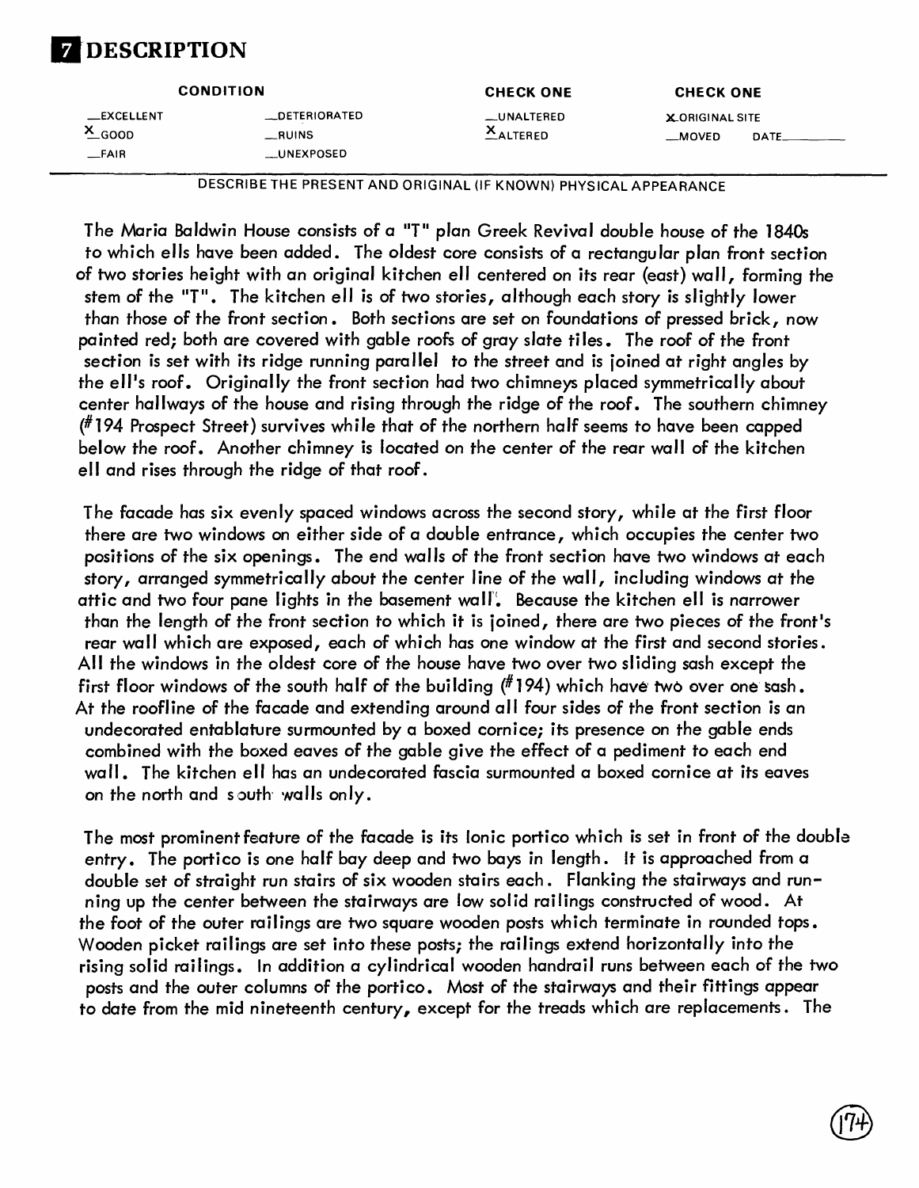## **DESCRIPTION**

| <b>CONDITION</b>                           |                                                   | <b>CHECK ONE</b>           | <b>CHECK ONE</b>                           |  |
|--------------------------------------------|---------------------------------------------------|----------------------------|--------------------------------------------|--|
| _EXCELLENT<br>$X$ <sub>GOOD</sub><br>_FAIR | <b>LOETERIORATED</b><br>$\_$ RUINS<br>__UNEXPOSED | __UNALTERED<br>$X$ ALTERED | <b>X-ORIGINAL SITE</b><br>__MOVED<br>DATE. |  |

DESCRIBE THE PRESENT AND ORIGINAL (IF KNOWN) PHYSICAL APPEARANCE

The Maria Baldwin House consists of a "T" plan Greek Revival double house of the 1840s to which ells have been added. The oldest core consists of a rectangular plan front section of two stories height with an original kitchen ell centered on its rear (east) wall, forming the stem of the "T". The kitchen ell is of two stories, although each story is slightly lower than those of the front section. Both sections are set on foundations of pressed brick, now painted red; both are covered with gable roofs of gray slate tiles. The roof of the front section is set with its ridge running parallel to the street and is joined at right angles by the ell's roof. Originally the front section had two chimneys placed symmetrically about center hallways of the house and rising through the ridge of the roof. The southern chimney (#194 Prospect Street) survives while that of the northern half seems to have been capped below the roof. Another chimney is located on the center of the rear wall of the kitchen ell and rises through the ridge of that roof.

The facade has six evenly spaced windows across the second story, while at the first floor there are two windows on either side of a double entrance, which occupies the center two positions of the six openings. The end walls of the front section have two windows at each story, arranged symmetrically about the center line of the wall, including windows at the attic and two four pane lights in the basement wall!. Because the kitchen ell is narrower than the length of the front section to which it is joined, there are two pieces of the front's rear wall which are exposed, each of which has one window at the first and second stories. All the windows in the oldest core of the house have two over two sliding sash except the first floor windows of the south half of the building  $(^{\#}194)$  which have two over one sash. At the roofline of the facade and extending around all four sides of the front section is an undecorated entablature surmounted by a boxed cornice; its presence on the gable ends combined with the boxed eaves of the gable give the effect of a pediment to each end wall. The kitchen ell has an undecorated fascia surmounted a boxed cornice at its eaves on the north and south walls only.

The most prominent feature of the facade is its Ionic portico which is set in front of the double entry. The portico is one half bay deep and two bays in length. It is approached from a double set of straight run stairs of six wooden stairs each. Flanking the stairways and running up the center between the stairways are low solid railings constructed of wood. At the foot of the outer railings are two square wooden posts which terminate in rounded tops. Wooden picket railings are set into these posts; the railings extend horizontally into the rising solid railings. In addition a cylindrical wooden handrail runs between each of the two posts and the outer columns of the portico. Most of the stairways and their fittings appear to date from the mid nineteenth century, except for the treads which are replacements. The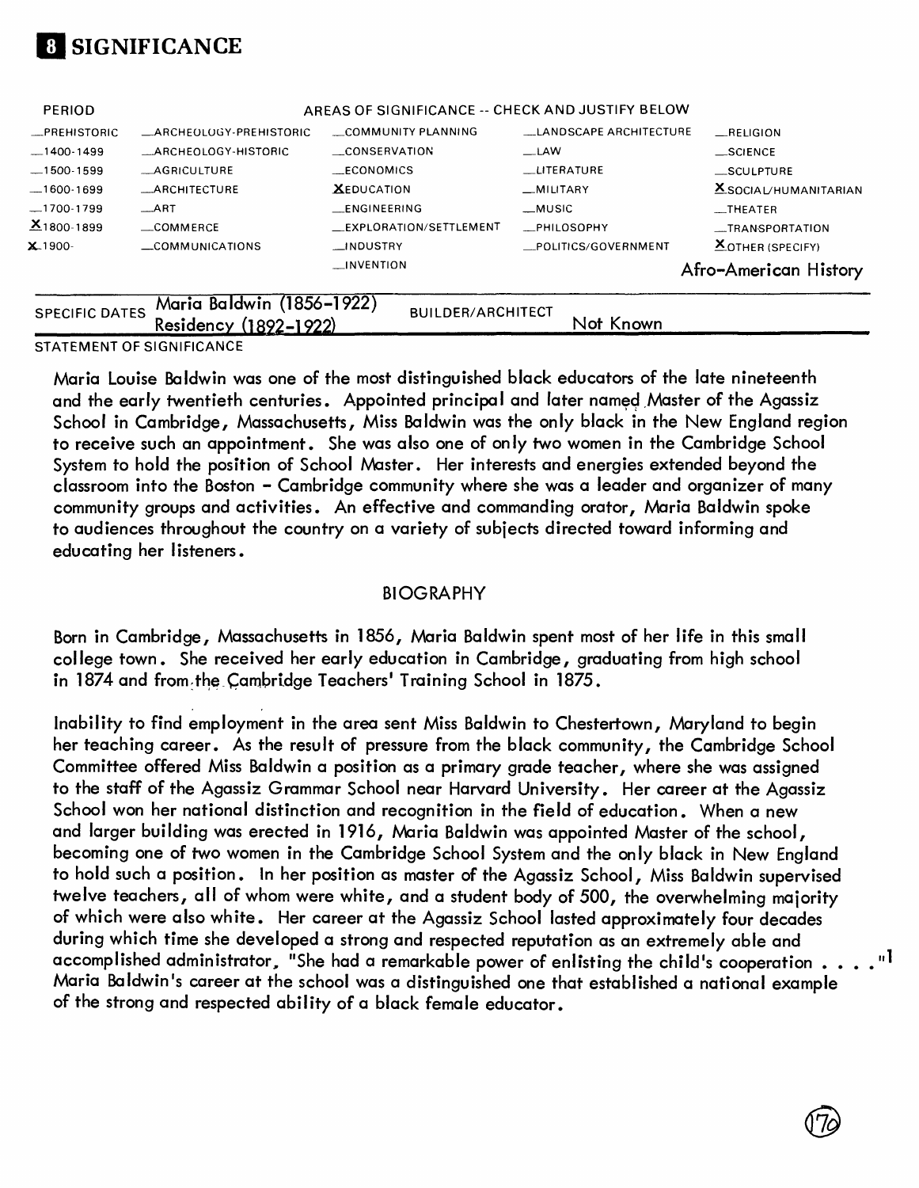

|                 |                         | $\Box$ INVENTION                                 |                               | Afro-American History   |
|-----------------|-------------------------|--------------------------------------------------|-------------------------------|-------------------------|
| $X.1900 -$      | COMMUNICATIONS          | __INDUSTRY                                       | _POLITICS/GOVERNMENT          | <b>XOTHER (SPECIFY)</b> |
| $X_{1800-1899}$ | COMMERCE                | _EXPLORATION/SETTLEMENT                          | <b>PHILOSOPHY</b>             | __TRANSPORTATION        |
| $-1700-1799$    | $-ART$                  | <b>ENGINEERING</b>                               | _MUSIC                        | $\equiv$ THEATER        |
| $-1600-1699$    | <b>_ARCHITECTURE</b>    | <b>XEDUCATION</b>                                | MILITARY                      | $X$ SOCIAL/HUMANITARIAN |
| $-1500-1599$    | AGRICULTURE             | ECONOMICS                                        | <b>LITERATURE</b>             | __SCULPTURE             |
| $-1400-1499$    | _ARCHEOLOGY-HISTORIC    | _CONSERVATION                                    | $\equiv$ LAW                  | $\_$ SCIENCE            |
| _PREHISTORIC    | _ARCHEOLOGY-PREHISTORIC | COMMUNITY PLANNING                               | <b>LANDSCAPE ARCHITECTURE</b> | $R$ ELIGION             |
| <b>PERIOD</b>   |                         | AREAS OF SIGNIFICANCE -- CHECK AND JUSTIFY BELOW |                               |                         |
|                 |                         |                                                  |                               |                         |

Not Known

## SPECIFIC DATES WHITH BUILWIN (1890–1922)<br>
Residency (1892–1922)

STATEMENT OF SIGNIFICANCE

Maria Louise Baldwin was one of the most distinguished black educators of the late nineteenth and the early twentieth centuries. Appointed principal and later named Master of the Agassiz School in Cambridge, Massachusetts, Miss Baldwin was the only black in the New England region to receive such an appointment. She was also one of only two women in the Cambridge School System to hold the position of School Master. Her interests and energies extended beyond the classroom into the Boston - Cambridge community where she was a leader and organizer of many community groups and activities. An effective and commanding orator, Maria Baldwin spoke to audiences throughout the country on a variety of subjects directed toward informing and educating her listeners.

#### BIOGRAPHY

Born in Cambridge, Massachusetts in 1856, Maria Baldwin spent most of her life in this small college town. She received her early education in Cambridge, graduating from high school in 1874 and from the Cambridge Teachers' Training School in 1875.

Inability to find employment in the area sent Miss Baldwin to Chestertown, Maryland to begin her teaching career. As the result of pressure from the black community, the Cambridge School Committee offered Miss Baldwin a position as a primary grade teacher, where she was assigned to the staff of the Agassiz Grammar School near Harvard University. Her career at the Agassiz School won her national distinction and recognition in the field of education. When a new and larger building was erected in 1916, Maria Baldwin was appointed Master of the school, becoming one of two women in the Cambridge School System and the only black in New England to hold such a position. In her position as master of the Agassiz School, Miss Baldwin supervised twelve teachers, all of whom were white, and a student body of 500, the overwhelming majority of which were also white. Her career at the Agassiz School lasted approximately four decades during which time she developed a strong and respected reputation as an extremely able and accomplished administrator, "She had a remarkable power of enlisting the child's cooperation  $\ldots \, \ldots \,$  " $^{\textsf{1}}$ Maria Baldwin's career at the school was a distinguished one that established a national example of the strong and respected ability of a black female educator.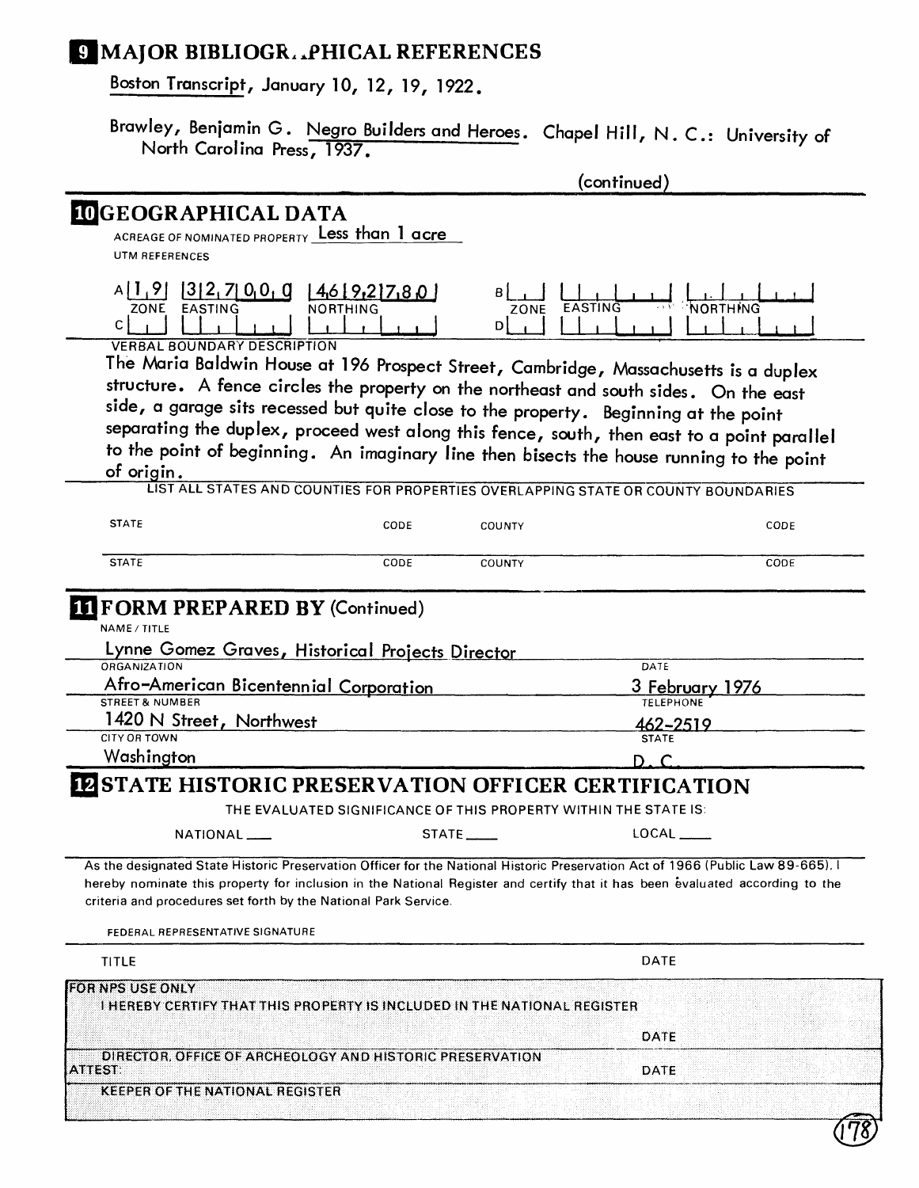### **E MAJOR BIBLIOGR..PHICAL REFERENCES**

Boston Transcript, January 10, 12, 19, 1922.

Brawley, Benjamin G. Negro Builders and Heroes. Chapel Hill, N. C.: University of North Carolina Press, 1937.

|                                                                                                                                                                                                                                                                                                                                                                      |                                  |                                                                  | (continued)                                                                                                                                                                            |  |
|----------------------------------------------------------------------------------------------------------------------------------------------------------------------------------------------------------------------------------------------------------------------------------------------------------------------------------------------------------------------|----------------------------------|------------------------------------------------------------------|----------------------------------------------------------------------------------------------------------------------------------------------------------------------------------------|--|
| <b>IDGEOGRAPHICAL DATA</b><br>ACREAGE OF NOMINATED PROPERTY Less than 1 acre<br><b>UTM REFERENCES</b>                                                                                                                                                                                                                                                                |                                  |                                                                  |                                                                                                                                                                                        |  |
| $A$ [1,9][3]2,7]0,0,0<br>ZONE EASTING<br>C.                                                                                                                                                                                                                                                                                                                          | 4.6 9.2 7.80 <br><b>NORTHING</b> | EASTING<br>ZONE<br>Dł                                            | <b>NORTHING</b>                                                                                                                                                                        |  |
| <b>VERBAL BOUNDARY DESCRIPTION</b><br>The Maria Baldwin House at 196 Prospect Street, Cambridge, Massachusetts is a duplex<br>structure. A fence circles the property on the northeast and south sides. On the east<br>side, a garage sits recessed but quite close to the property. Beginning at the point<br>of origin.                                            |                                  |                                                                  | separating the duplex, proceed west along this fence, south, then east to a point parallel<br>to the point of beginning. An imaginary line then bisects the house running to the point |  |
|                                                                                                                                                                                                                                                                                                                                                                      |                                  |                                                                  | LIST ALL STATES AND COUNTIES FOR PROPERTIES OVERLAPPING STATE OR COUNTY BOUNDARIES                                                                                                     |  |
| <b>STATE</b>                                                                                                                                                                                                                                                                                                                                                         | CODE                             | <b>COUNTY</b>                                                    | CODE                                                                                                                                                                                   |  |
| <b>STATE</b>                                                                                                                                                                                                                                                                                                                                                         | CODE                             | <b>COUNTY</b>                                                    | CODE                                                                                                                                                                                   |  |
| Lynne Gomez Graves, Historical Projects Director<br>ORGANIZATION<br>Afro-American Bicentennial Corporation<br>STREET & NUMBER<br>1420 N Street, Northwest<br><b>CITY OR TOWN</b><br>Washington                                                                                                                                                                       |                                  |                                                                  | DATE<br>3 February 1976<br><b>TELEPHONE</b><br>462-2519<br><b>STATE</b><br>n c                                                                                                         |  |
| <b>IZ STATE HISTORIC PRESERVATION OFFICER CERTIFICATION</b>                                                                                                                                                                                                                                                                                                          |                                  |                                                                  |                                                                                                                                                                                        |  |
|                                                                                                                                                                                                                                                                                                                                                                      |                                  | THE EVALUATED SIGNIFICANCE OF THIS PROPERTY WITHIN THE STATE IS: |                                                                                                                                                                                        |  |
| NATIONAL __                                                                                                                                                                                                                                                                                                                                                          |                                  | $STATE$ <sub>_____</sub>                                         | $LOCAL$ <sub>_____</sub>                                                                                                                                                               |  |
| As the designated State Historic Preservation Officer for the National Historic Preservation Act of 1966 (Public Law 89-665).<br>hereby nominate this property for inclusion in the National Register and certify that it has been evaluated according to the<br>criteria and procedures set forth by the National Park Service.<br>FEDERAL REPRESENTATIVE SIGNATURE |                                  |                                                                  |                                                                                                                                                                                        |  |
| TITLE                                                                                                                                                                                                                                                                                                                                                                |                                  |                                                                  | <b>DATE</b>                                                                                                                                                                            |  |
| <b>FOR NPS USE ONLY</b><br>I HEREBY CERTIFY THAT THIS PROPERTY IS INCLUDED IN THE NATIONAL REGISTER                                                                                                                                                                                                                                                                  |                                  |                                                                  |                                                                                                                                                                                        |  |
|                                                                                                                                                                                                                                                                                                                                                                      |                                  |                                                                  | DATE                                                                                                                                                                                   |  |
| DIRECTOR, OFFICE OF ARCHEOLOGY AND HISTORIC PRESERVATION<br>ATTEST:                                                                                                                                                                                                                                                                                                  |                                  |                                                                  | DATE                                                                                                                                                                                   |  |
| <b>KEEPER OF THE NATIONAL REGISTER</b>                                                                                                                                                                                                                                                                                                                               |                                  |                                                                  |                                                                                                                                                                                        |  |
|                                                                                                                                                                                                                                                                                                                                                                      |                                  |                                                                  |                                                                                                                                                                                        |  |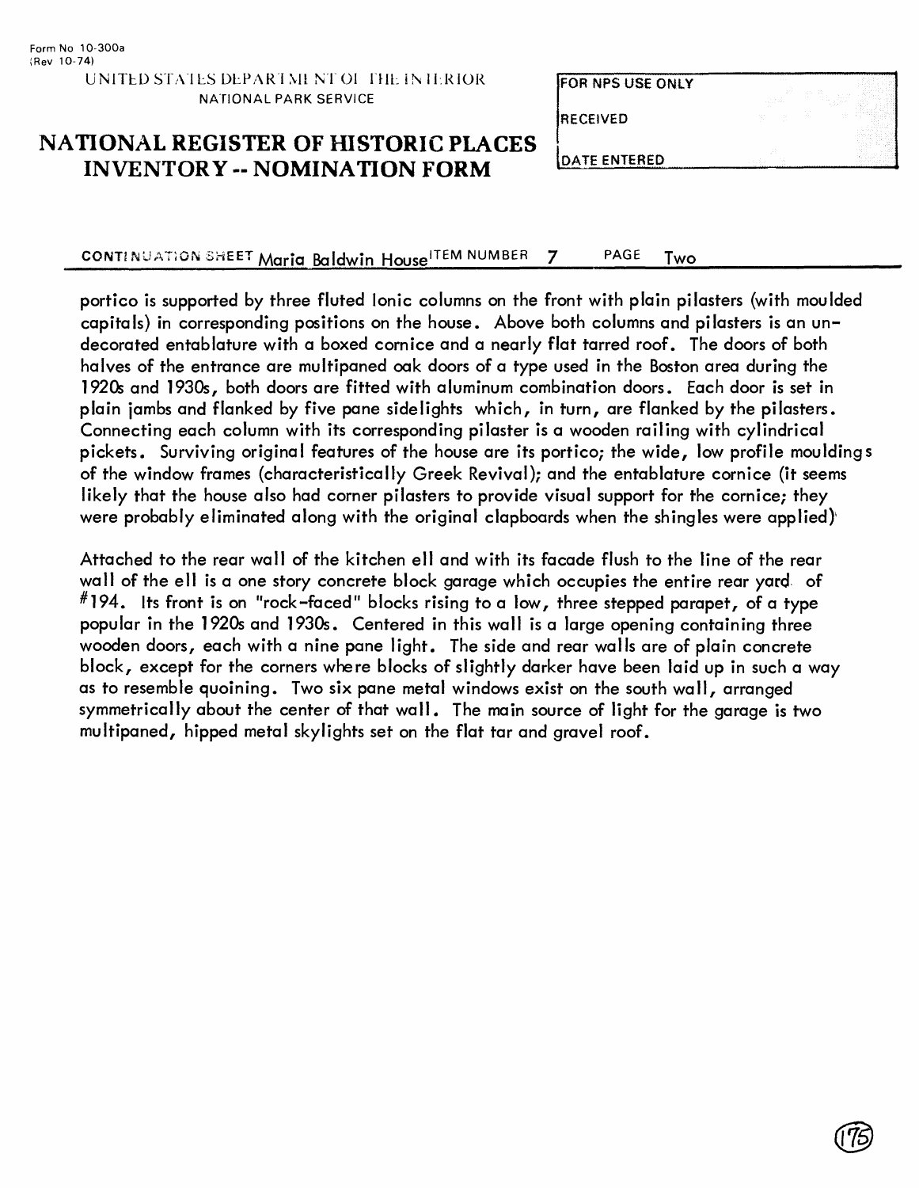#### FOR NPS USE ONLY

**RECEIVED** 

#### NATIONAL REGISTER OF HISTORIC PLACES INVENTORY -- NOMINATION FORM

**DATE ENTERED** 

CONTINUATION SHEET Maria Baldwin House<sup>ITEM NUMBER</sup> 7 PAGE Two

portico is supported by three fluted Ionic columns on the front with plain pilasters (with moulded capitals) in corresponding positions on the house. Above both columns and pilasters is an undecorated entablature with a boxed cornice and a nearly flat tarred roof. The doors of both halves of the entrance are multipaned oak doors of a type used in the Boston area during the 1920s and 1930s, both doors are fitted with aluminum combination doors. Each door is set in plain jambs and flanked by five pane sidelights which, in turn, are flanked by the pilasters. Connecting each column with its corresponding pilaster is a wooden railing with cylindrical pickets. Surviving original features of the house are its portico; the wide, low profile mouldings of the window frames (characteristically Greek Revival); and the entablature cornice (it seems likely that the house also had corner pilasters to provide visual support for the cornice; they were probably eliminated along with the original clapboards when the shingles were applied)'

Attached to the rear wall of the kitchen ell and with its facade flush to the line of the rear wall of the ell is a one story concrete block garage which occupies the entire rear yard of  $^{\#}$ 194. Its front is on "rock-faced" blocks rising to a low, three stepped parapet, of a type popular in the 1920s and 1930s. Centered in this wall is a large opening containing three wooden doors, each with a nine pane light. The side and rear walls are of plain concrete block, except for the corners where blocks of slightly darker have been laid up in such a way as to resemble quoining. Two six pane metal windows exist on the south wall, arranged symmetrically about the center of that wall. The main source of light for the garage is two multipaned, hipped metal skylights set on the flat tar and gravel roof.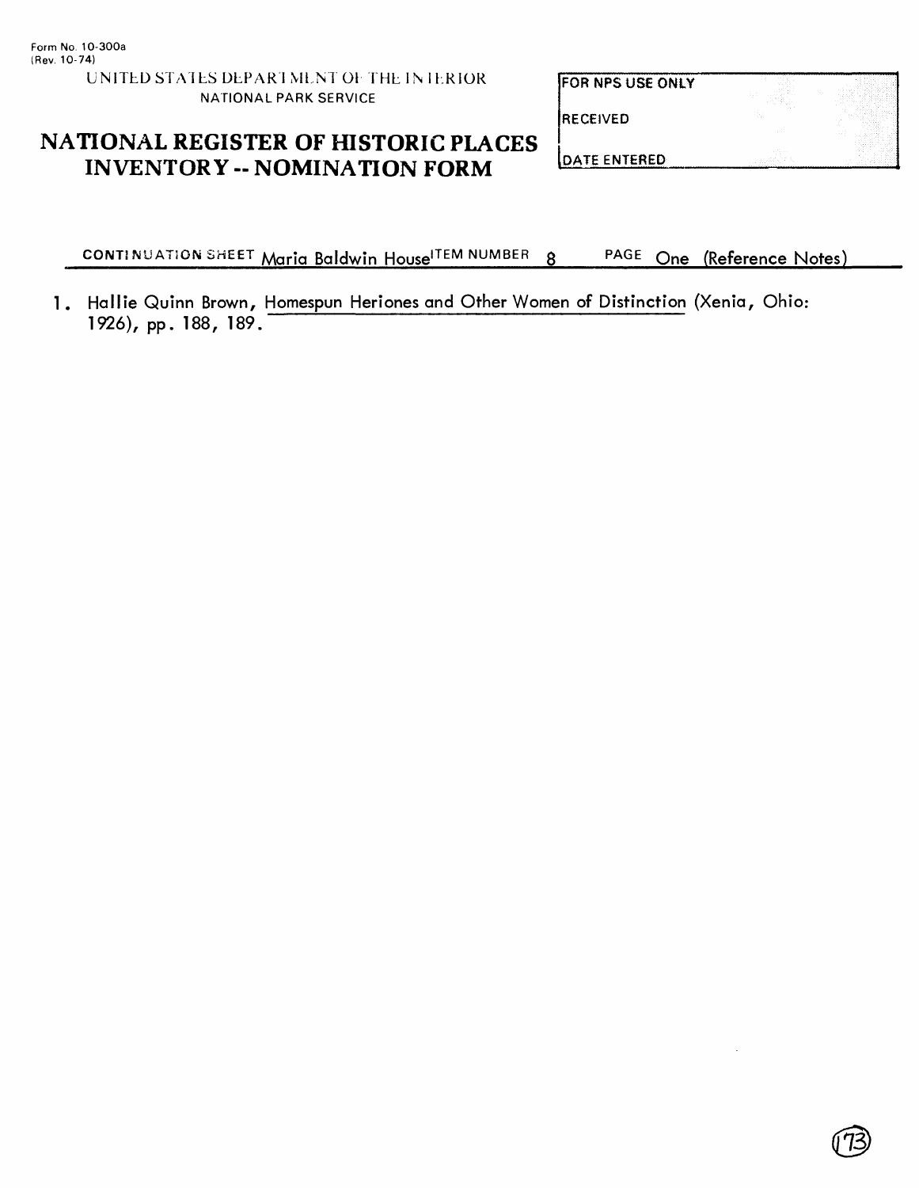**FOR NPS USE ONLY** 

**RECEIVED** 

#### **NATIONAL REGISTER OF HISTORIC PLACES INVENTORY - NOMINATION FORM**

**DATE ENTERED** 

**CONTINUATION SHEET Maria Baldwin House<sup>ITEM NUMBER</sup> 8 PAGE One (Reference Notes)** 

1. Hallie Quinn Brown, Homespun Heriones and Other Women of Distinction (Xenia, Ohio: 1926), pp. 188, 189.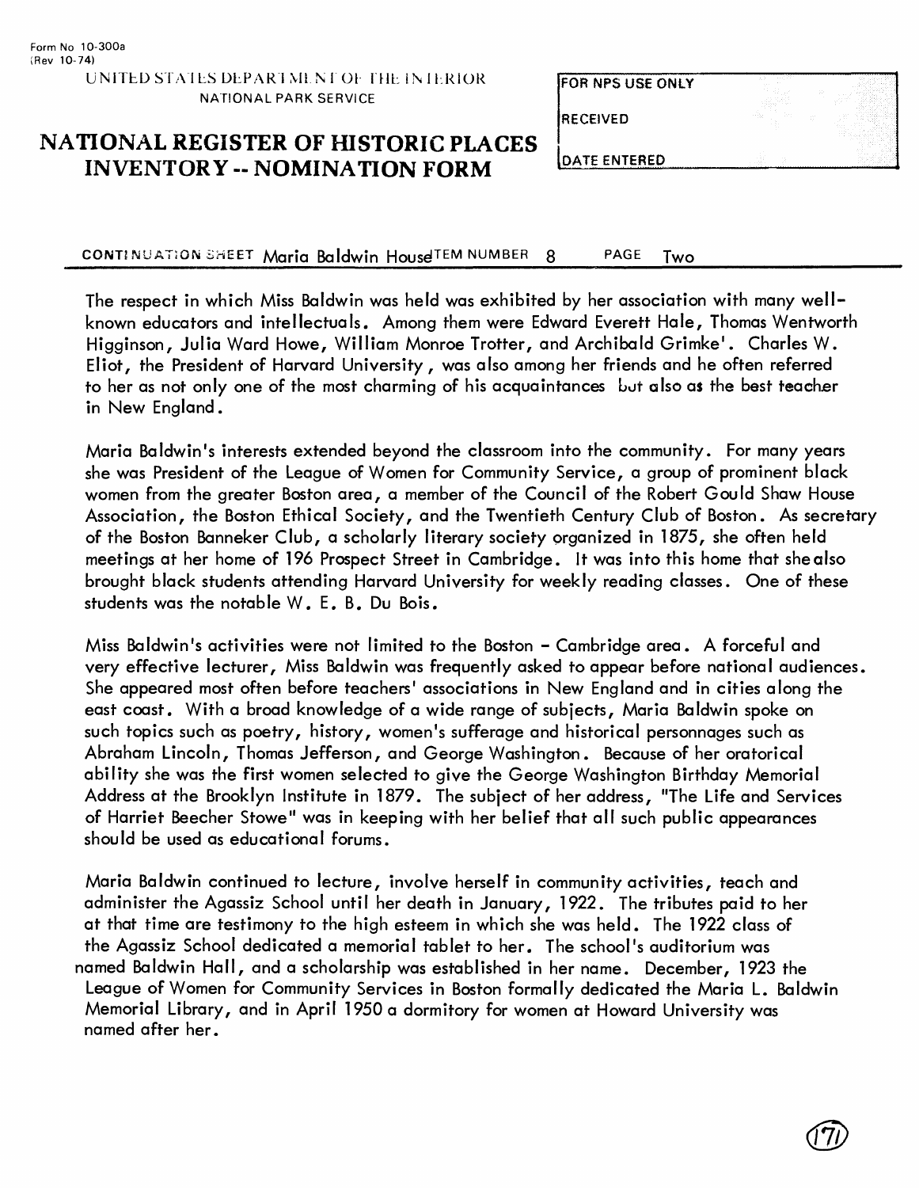| <b>FOR NPS USE ONLY</b> | . <i>.</i><br><b>STATISTICS</b><br>and a | 22                 |
|-------------------------|------------------------------------------|--------------------|
| <b>IRECEIVED</b>        | $\sim$ $\sim$<br>.<br>98                 | ALC:<br>11.15<br>. |
| <b>IDATE ENTERED</b>    |                                          |                    |

#### **NATIONAL REGISTER OF HISTORIC PLACES INVENTORY -- NOMINATION FORM**

CONTINUATION SHEET Maria Baldwin House TEM NUMBER 8 PAGE Two

The respect in which Miss Baldwin was held was exhibited by her association with many wellknown educators and intellectuals. Among them were Edward Everett Hale, Thomas Wentworth Higginson, Julia Ward Howe, William Monroe Trotter, and Archibald Grimke'. Charles W. Eliot, the President of Harvard University, was also among her friends and he often referred to her as not only one of the most charming of his acquaintances but also as the best teacher in New England.

Maria Baldwin's interests extended beyond the classroom into the community. For many years she was President of the League of Women for Community Service, a group of prominent black women from the greater Boston area, a member of the Council of the Robert Gould Shaw House Association, the Boston Ethical Society, and the Twentieth Century Club of Boston. As secretary of the Boston Banneker Club, a scholarly literary society organized in 1875, she often held meetings at her home of 196 Prospect Street in Cambridge. It was into this home that she also brought black students attending Harvard University for weekly reading classes. One of these students was the notable W. E. B. Du Bois.

Miss Baldwin's activities were not limited to the Boston - Cambridge area. A forceful and very effective lecturer, Miss Baldwin was frequently asked to appear before national audiences. She appeared most often before teachers' associations in New England and in cities along the east coast. With a broad knowledge of a wide range of subjects, Maria Baldwin spoke on such topics such as poetry, history, women's sufferage and historical personnages such as Abraham Lincoln, Thomas Jefferson, and George Washington. Because of her oratorical ability she was the first women selected to give the George Washington Birthday Memorial Address at the Brooklyn Institute in 1879. The subject of her address, "The Life and Services of Harriet Beecher Stowe" was in keeping with her belief that all such public appearances should be used as educational forums.

Maria Baldwin continued to lecture, involve herself in community activities, teach and administer the Agassiz School until her death in January, 1922. The tributes paid to her at that time are testimony to the high esteem in which she was held. The 1922 class of the Agassiz School dedicated a memorial tablet to her. The school's auditorium was named Baldwin Hall, and a scholarship was established in her name. December, 1923 the League of Women for Community Services in Boston formally dedicated the Maria L. Baldwin Memorial Library, and in April 1950 a dormitory for women at Howard University was named after her.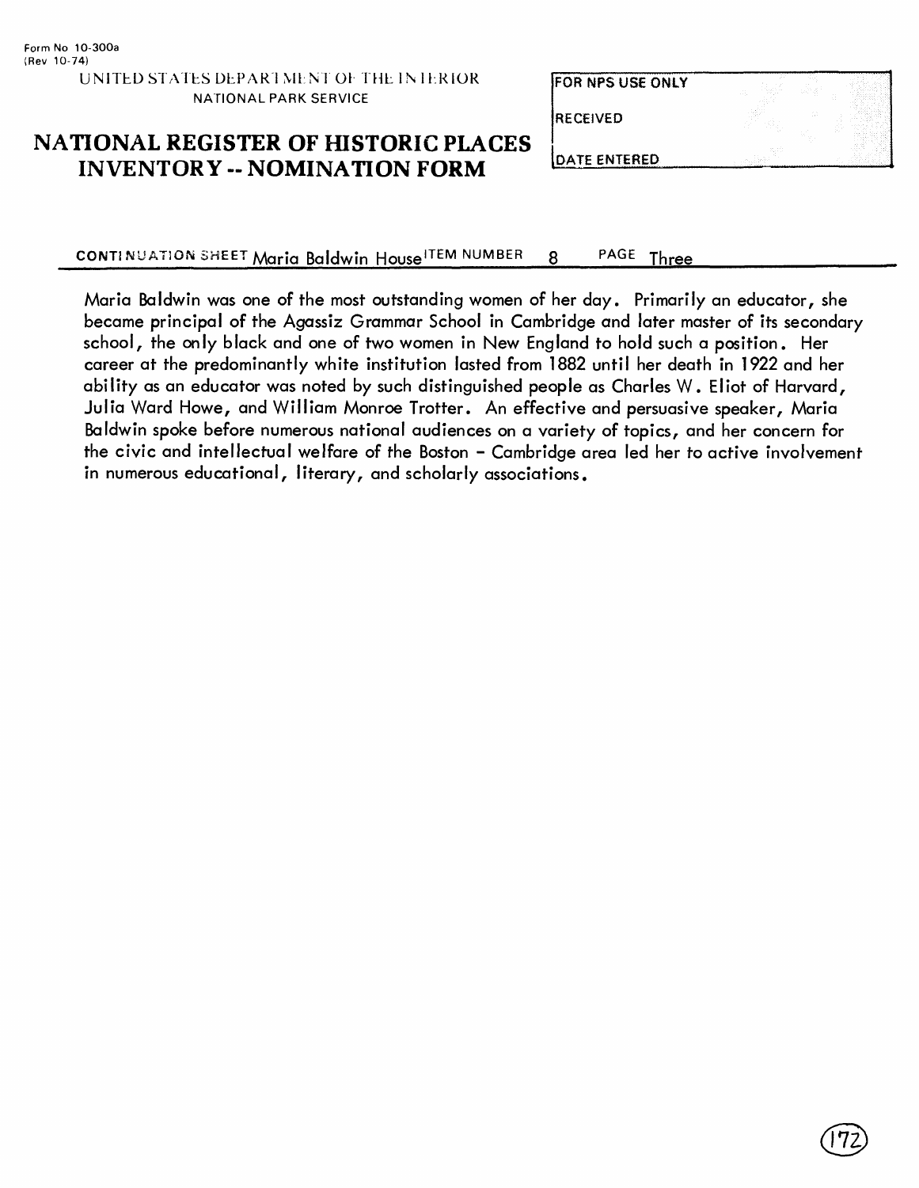# **FOR NPS USE ONLY RECEIVED**

#### **NATIONAL REGISTER OF HISTORIC PLACES INVENTORY - NOMINATION FORM**

**DATE ENTERED** 

CONTINUATION SHEET Maria Baldwin House ITEM NUMBER 8 PAGE Three

Maria Baldwin was one of the most outstanding women of her day. Primarily an educator, she became principal of the Agassiz Grammar School in Cambridge and later master of its secondary school, the only black and one of two women in New England to hold such a position. Her career at the predominantly white institution lasted from 1882 until her death in 1922 and her ability as an educator was noted by such distinguished people as Charles W. Eliot of Harvard, Julia Ward Howe, and William Monroe Trotter. An effective and persuasive speaker, Maria Baldwin spoke before numerous national audiences on a variety of topics, and her concern for the civic and intellectual welfare of the Boston - Cambridge area led her to active involvement in numerous educational, literary, and scholarly associations.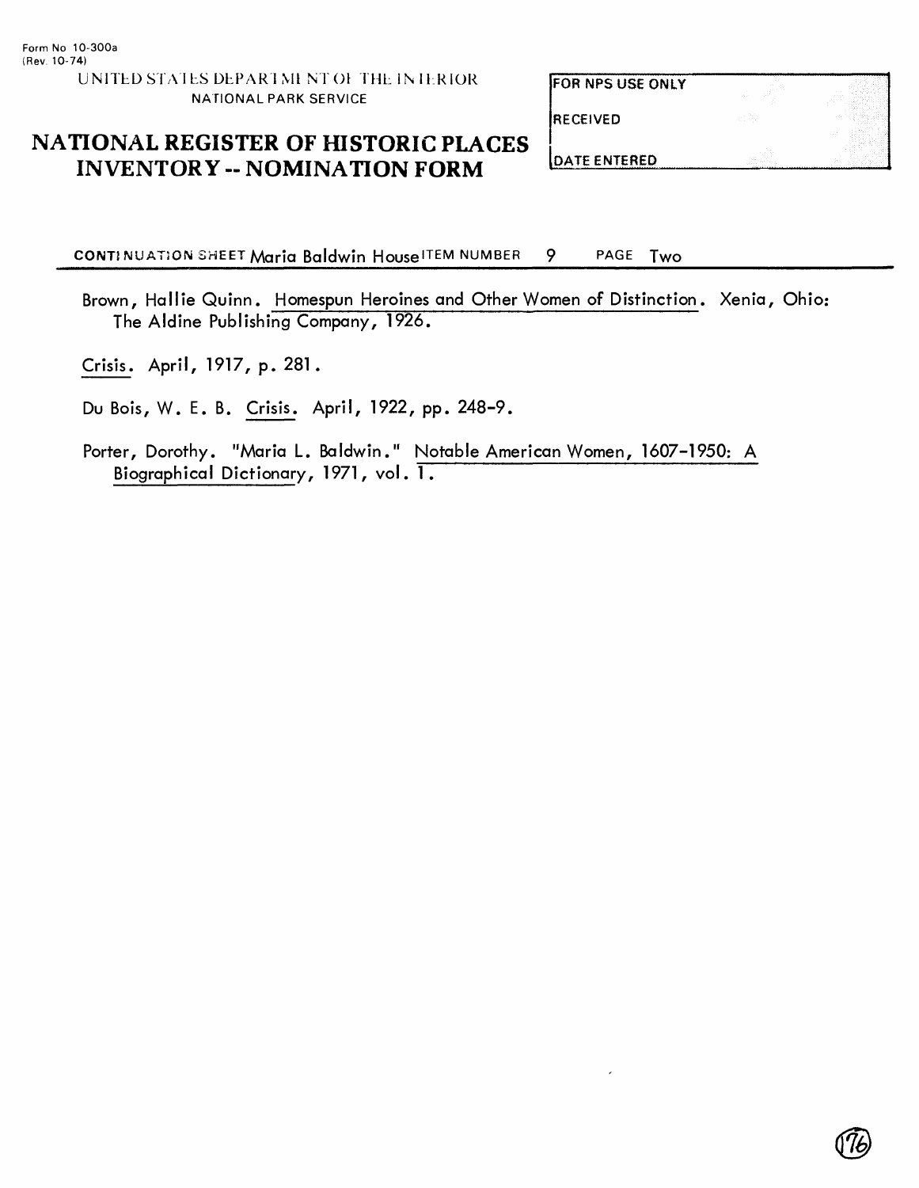# RECEIVED FOR NPS USE ONLY

#### **NATIONAL REGISTER OF HISTORIC PLACES INVENTORY -- NOMINATION FORM**

**DATE ENTERED** 

CONTINUATION SHEET Maria Baldwin House ITEM NUMBER 9 PAGE Two

Brown, Hallie Quinn. Homespun Heroines and Other Women of Distinction. Xenia, Ohio: The Aldine Publishing Company, 1926.

Crisis. April, 1917, p. 281.

Du Bois, W. E. B. Crisis. April, 1922, pp. 248-9.

Porter, Dorothy. "Maria L. Baldwin." Notable American Women, 1607-1950: A Biographical Dictionary, 1971, vol. 1.